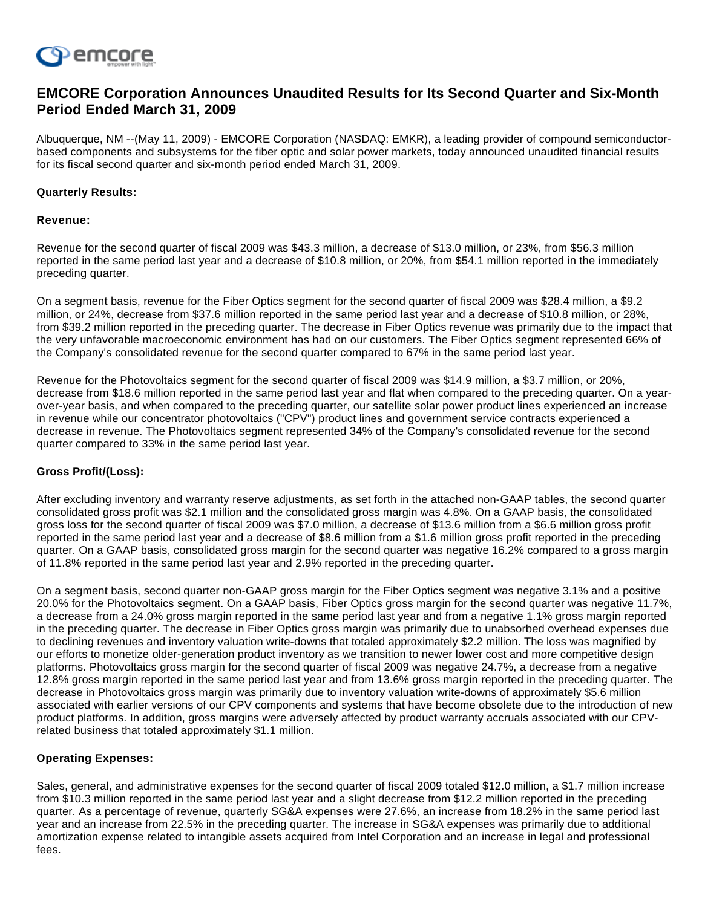

# **EMCORE Corporation Announces Unaudited Results for Its Second Quarter and Six-Month Period Ended March 31, 2009**

Albuquerque, NM --(May 11, 2009) - EMCORE Corporation (NASDAQ: EMKR), a leading provider of compound semiconductorbased components and subsystems for the fiber optic and solar power markets, today announced unaudited financial results for its fiscal second quarter and six-month period ended March 31, 2009.

#### **Quarterly Results:**

#### **Revenue:**

Revenue for the second quarter of fiscal 2009 was \$43.3 million, a decrease of \$13.0 million, or 23%, from \$56.3 million reported in the same period last year and a decrease of \$10.8 million, or 20%, from \$54.1 million reported in the immediately preceding quarter.

On a segment basis, revenue for the Fiber Optics segment for the second quarter of fiscal 2009 was \$28.4 million, a \$9.2 million, or 24%, decrease from \$37.6 million reported in the same period last year and a decrease of \$10.8 million, or 28%, from \$39.2 million reported in the preceding quarter. The decrease in Fiber Optics revenue was primarily due to the impact that the very unfavorable macroeconomic environment has had on our customers. The Fiber Optics segment represented 66% of the Company's consolidated revenue for the second quarter compared to 67% in the same period last year.

Revenue for the Photovoltaics segment for the second quarter of fiscal 2009 was \$14.9 million, a \$3.7 million, or 20%, decrease from \$18.6 million reported in the same period last year and flat when compared to the preceding quarter. On a yearover-year basis, and when compared to the preceding quarter, our satellite solar power product lines experienced an increase in revenue while our concentrator photovoltaics ("CPV") product lines and government service contracts experienced a decrease in revenue. The Photovoltaics segment represented 34% of the Company's consolidated revenue for the second quarter compared to 33% in the same period last year.

## **Gross Profit/(Loss):**

After excluding inventory and warranty reserve adjustments, as set forth in the attached non-GAAP tables, the second quarter consolidated gross profit was \$2.1 million and the consolidated gross margin was 4.8%. On a GAAP basis, the consolidated gross loss for the second quarter of fiscal 2009 was \$7.0 million, a decrease of \$13.6 million from a \$6.6 million gross profit reported in the same period last year and a decrease of \$8.6 million from a \$1.6 million gross profit reported in the preceding quarter. On a GAAP basis, consolidated gross margin for the second quarter was negative 16.2% compared to a gross margin of 11.8% reported in the same period last year and 2.9% reported in the preceding quarter.

On a segment basis, second quarter non-GAAP gross margin for the Fiber Optics segment was negative 3.1% and a positive 20.0% for the Photovoltaics segment. On a GAAP basis, Fiber Optics gross margin for the second quarter was negative 11.7%, a decrease from a 24.0% gross margin reported in the same period last year and from a negative 1.1% gross margin reported in the preceding quarter. The decrease in Fiber Optics gross margin was primarily due to unabsorbed overhead expenses due to declining revenues and inventory valuation write-downs that totaled approximately \$2.2 million. The loss was magnified by our efforts to monetize older-generation product inventory as we transition to newer lower cost and more competitive design platforms. Photovoltaics gross margin for the second quarter of fiscal 2009 was negative 24.7%, a decrease from a negative 12.8% gross margin reported in the same period last year and from 13.6% gross margin reported in the preceding quarter. The decrease in Photovoltaics gross margin was primarily due to inventory valuation write-downs of approximately \$5.6 million associated with earlier versions of our CPV components and systems that have become obsolete due to the introduction of new product platforms. In addition, gross margins were adversely affected by product warranty accruals associated with our CPVrelated business that totaled approximately \$1.1 million.

## **Operating Expenses:**

Sales, general, and administrative expenses for the second quarter of fiscal 2009 totaled \$12.0 million, a \$1.7 million increase from \$10.3 million reported in the same period last year and a slight decrease from \$12.2 million reported in the preceding quarter. As a percentage of revenue, quarterly SG&A expenses were 27.6%, an increase from 18.2% in the same period last year and an increase from 22.5% in the preceding quarter. The increase in SG&A expenses was primarily due to additional amortization expense related to intangible assets acquired from Intel Corporation and an increase in legal and professional fees.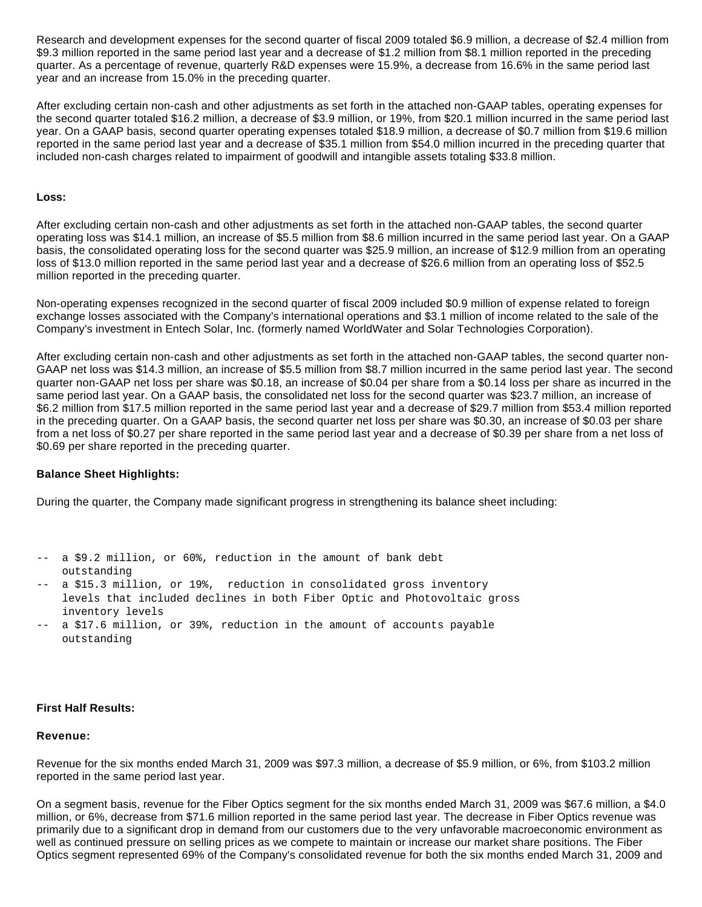Research and development expenses for the second quarter of fiscal 2009 totaled \$6.9 million, a decrease of \$2.4 million from \$9.3 million reported in the same period last year and a decrease of \$1.2 million from \$8.1 million reported in the preceding quarter. As a percentage of revenue, quarterly R&D expenses were 15.9%, a decrease from 16.6% in the same period last year and an increase from 15.0% in the preceding quarter.

After excluding certain non-cash and other adjustments as set forth in the attached non-GAAP tables, operating expenses for the second quarter totaled \$16.2 million, a decrease of \$3.9 million, or 19%, from \$20.1 million incurred in the same period last year. On a GAAP basis, second quarter operating expenses totaled \$18.9 million, a decrease of \$0.7 million from \$19.6 million reported in the same period last year and a decrease of \$35.1 million from \$54.0 million incurred in the preceding quarter that included non-cash charges related to impairment of goodwill and intangible assets totaling \$33.8 million.

#### **Loss:**

After excluding certain non-cash and other adjustments as set forth in the attached non-GAAP tables, the second quarter operating loss was \$14.1 million, an increase of \$5.5 million from \$8.6 million incurred in the same period last year. On a GAAP basis, the consolidated operating loss for the second quarter was \$25.9 million, an increase of \$12.9 million from an operating loss of \$13.0 million reported in the same period last year and a decrease of \$26.6 million from an operating loss of \$52.5 million reported in the preceding quarter.

Non-operating expenses recognized in the second quarter of fiscal 2009 included \$0.9 million of expense related to foreign exchange losses associated with the Company's international operations and \$3.1 million of income related to the sale of the Company's investment in Entech Solar, Inc. (formerly named WorldWater and Solar Technologies Corporation).

After excluding certain non-cash and other adjustments as set forth in the attached non-GAAP tables, the second quarter non-GAAP net loss was \$14.3 million, an increase of \$5.5 million from \$8.7 million incurred in the same period last year. The second quarter non-GAAP net loss per share was \$0.18, an increase of \$0.04 per share from a \$0.14 loss per share as incurred in the same period last year. On a GAAP basis, the consolidated net loss for the second quarter was \$23.7 million, an increase of \$6.2 million from \$17.5 million reported in the same period last year and a decrease of \$29.7 million from \$53.4 million reported in the preceding quarter. On a GAAP basis, the second quarter net loss per share was \$0.30, an increase of \$0.03 per share from a net loss of \$0.27 per share reported in the same period last year and a decrease of \$0.39 per share from a net loss of \$0.69 per share reported in the preceding quarter.

## **Balance Sheet Highlights:**

During the quarter, the Company made significant progress in strengthening its balance sheet including:

- -- a \$9.2 million, or 60%, reduction in the amount of bank debt outstanding
- -- a \$15.3 million, or 19%, reduction in consolidated gross inventory levels that included declines in both Fiber Optic and Photovoltaic gross inventory levels
- -- a \$17.6 million, or 39%, reduction in the amount of accounts payable outstanding

## **First Half Results:**

#### **Revenue:**

Revenue for the six months ended March 31, 2009 was \$97.3 million, a decrease of \$5.9 million, or 6%, from \$103.2 million reported in the same period last year.

On a segment basis, revenue for the Fiber Optics segment for the six months ended March 31, 2009 was \$67.6 million, a \$4.0 million, or 6%, decrease from \$71.6 million reported in the same period last year. The decrease in Fiber Optics revenue was primarily due to a significant drop in demand from our customers due to the very unfavorable macroeconomic environment as well as continued pressure on selling prices as we compete to maintain or increase our market share positions. The Fiber Optics segment represented 69% of the Company's consolidated revenue for both the six months ended March 31, 2009 and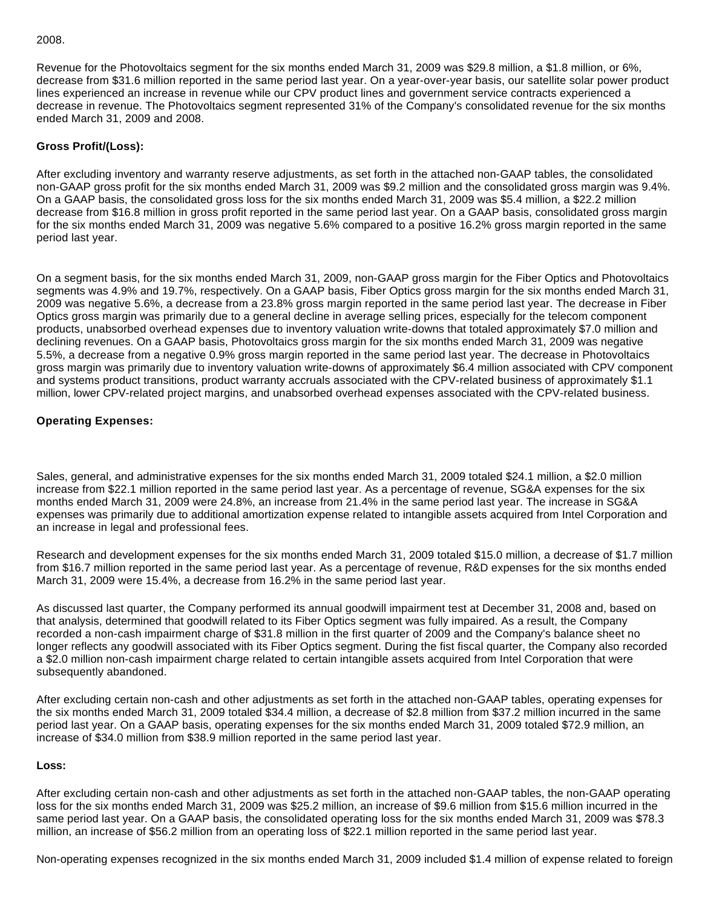## 2008.

Revenue for the Photovoltaics segment for the six months ended March 31, 2009 was \$29.8 million, a \$1.8 million, or 6%, decrease from \$31.6 million reported in the same period last year. On a year-over-year basis, our satellite solar power product lines experienced an increase in revenue while our CPV product lines and government service contracts experienced a decrease in revenue. The Photovoltaics segment represented 31% of the Company's consolidated revenue for the six months ended March 31, 2009 and 2008.

# **Gross Profit/(Loss):**

After excluding inventory and warranty reserve adjustments, as set forth in the attached non-GAAP tables, the consolidated non-GAAP gross profit for the six months ended March 31, 2009 was \$9.2 million and the consolidated gross margin was 9.4%. On a GAAP basis, the consolidated gross loss for the six months ended March 31, 2009 was \$5.4 million, a \$22.2 million decrease from \$16.8 million in gross profit reported in the same period last year. On a GAAP basis, consolidated gross margin for the six months ended March 31, 2009 was negative 5.6% compared to a positive 16.2% gross margin reported in the same period last year.

On a segment basis, for the six months ended March 31, 2009, non-GAAP gross margin for the Fiber Optics and Photovoltaics segments was 4.9% and 19.7%, respectively. On a GAAP basis, Fiber Optics gross margin for the six months ended March 31, 2009 was negative 5.6%, a decrease from a 23.8% gross margin reported in the same period last year. The decrease in Fiber Optics gross margin was primarily due to a general decline in average selling prices, especially for the telecom component products, unabsorbed overhead expenses due to inventory valuation write-downs that totaled approximately \$7.0 million and declining revenues. On a GAAP basis, Photovoltaics gross margin for the six months ended March 31, 2009 was negative 5.5%, a decrease from a negative 0.9% gross margin reported in the same period last year. The decrease in Photovoltaics gross margin was primarily due to inventory valuation write-downs of approximately \$6.4 million associated with CPV component and systems product transitions, product warranty accruals associated with the CPV-related business of approximately \$1.1 million, lower CPV-related project margins, and unabsorbed overhead expenses associated with the CPV-related business.

# **Operating Expenses:**

Sales, general, and administrative expenses for the six months ended March 31, 2009 totaled \$24.1 million, a \$2.0 million increase from \$22.1 million reported in the same period last year. As a percentage of revenue, SG&A expenses for the six months ended March 31, 2009 were 24.8%, an increase from 21.4% in the same period last year. The increase in SG&A expenses was primarily due to additional amortization expense related to intangible assets acquired from Intel Corporation and an increase in legal and professional fees.

Research and development expenses for the six months ended March 31, 2009 totaled \$15.0 million, a decrease of \$1.7 million from \$16.7 million reported in the same period last year. As a percentage of revenue, R&D expenses for the six months ended March 31, 2009 were 15.4%, a decrease from 16.2% in the same period last year.

As discussed last quarter, the Company performed its annual goodwill impairment test at December 31, 2008 and, based on that analysis, determined that goodwill related to its Fiber Optics segment was fully impaired. As a result, the Company recorded a non-cash impairment charge of \$31.8 million in the first quarter of 2009 and the Company's balance sheet no longer reflects any goodwill associated with its Fiber Optics segment. During the fist fiscal quarter, the Company also recorded a \$2.0 million non-cash impairment charge related to certain intangible assets acquired from Intel Corporation that were subsequently abandoned.

After excluding certain non-cash and other adjustments as set forth in the attached non-GAAP tables, operating expenses for the six months ended March 31, 2009 totaled \$34.4 million, a decrease of \$2.8 million from \$37.2 million incurred in the same period last year. On a GAAP basis, operating expenses for the six months ended March 31, 2009 totaled \$72.9 million, an increase of \$34.0 million from \$38.9 million reported in the same period last year.

## **Loss:**

After excluding certain non-cash and other adjustments as set forth in the attached non-GAAP tables, the non-GAAP operating loss for the six months ended March 31, 2009 was \$25.2 million, an increase of \$9.6 million from \$15.6 million incurred in the same period last year. On a GAAP basis, the consolidated operating loss for the six months ended March 31, 2009 was \$78.3 million, an increase of \$56.2 million from an operating loss of \$22.1 million reported in the same period last year.

Non-operating expenses recognized in the six months ended March 31, 2009 included \$1.4 million of expense related to foreign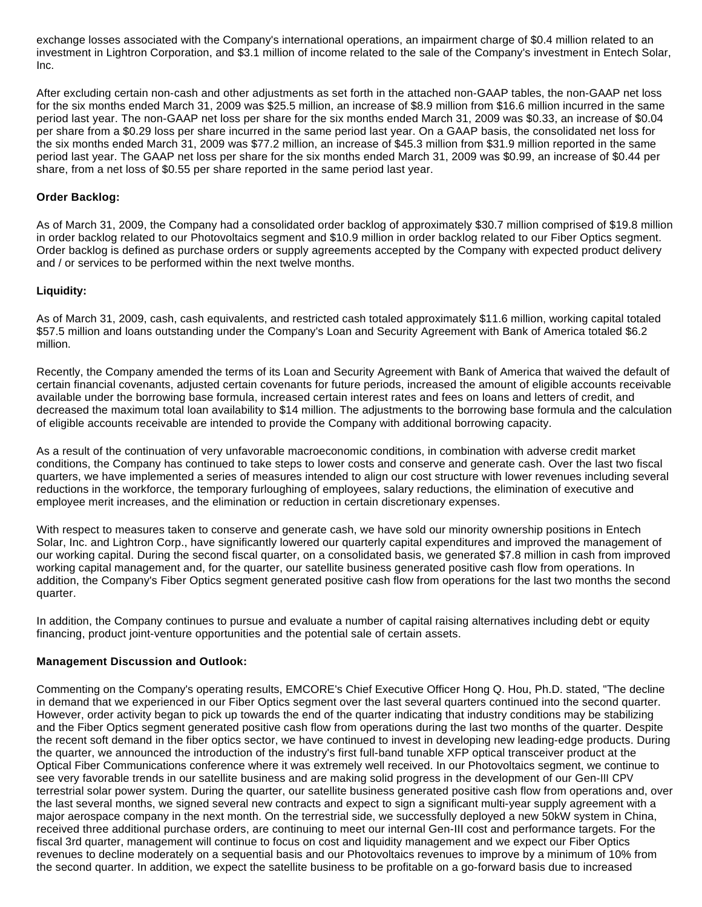exchange losses associated with the Company's international operations, an impairment charge of \$0.4 million related to an investment in Lightron Corporation, and \$3.1 million of income related to the sale of the Company's investment in Entech Solar, Inc.

After excluding certain non-cash and other adjustments as set forth in the attached non-GAAP tables, the non-GAAP net loss for the six months ended March 31, 2009 was \$25.5 million, an increase of \$8.9 million from \$16.6 million incurred in the same period last year. The non-GAAP net loss per share for the six months ended March 31, 2009 was \$0.33, an increase of \$0.04 per share from a \$0.29 loss per share incurred in the same period last year. On a GAAP basis, the consolidated net loss for the six months ended March 31, 2009 was \$77.2 million, an increase of \$45.3 million from \$31.9 million reported in the same period last year. The GAAP net loss per share for the six months ended March 31, 2009 was \$0.99, an increase of \$0.44 per share, from a net loss of \$0.55 per share reported in the same period last year.

## **Order Backlog:**

As of March 31, 2009, the Company had a consolidated order backlog of approximately \$30.7 million comprised of \$19.8 million in order backlog related to our Photovoltaics segment and \$10.9 million in order backlog related to our Fiber Optics segment. Order backlog is defined as purchase orders or supply agreements accepted by the Company with expected product delivery and / or services to be performed within the next twelve months.

## **Liquidity:**

As of March 31, 2009, cash, cash equivalents, and restricted cash totaled approximately \$11.6 million, working capital totaled \$57.5 million and loans outstanding under the Company's Loan and Security Agreement with Bank of America totaled \$6.2 million.

Recently, the Company amended the terms of its Loan and Security Agreement with Bank of America that waived the default of certain financial covenants, adjusted certain covenants for future periods, increased the amount of eligible accounts receivable available under the borrowing base formula, increased certain interest rates and fees on loans and letters of credit, and decreased the maximum total loan availability to \$14 million. The adjustments to the borrowing base formula and the calculation of eligible accounts receivable are intended to provide the Company with additional borrowing capacity.

As a result of the continuation of very unfavorable macroeconomic conditions, in combination with adverse credit market conditions, the Company has continued to take steps to lower costs and conserve and generate cash. Over the last two fiscal quarters, we have implemented a series of measures intended to align our cost structure with lower revenues including several reductions in the workforce, the temporary furloughing of employees, salary reductions, the elimination of executive and employee merit increases, and the elimination or reduction in certain discretionary expenses.

With respect to measures taken to conserve and generate cash, we have sold our minority ownership positions in Entech Solar, Inc. and Lightron Corp., have significantly lowered our quarterly capital expenditures and improved the management of our working capital. During the second fiscal quarter, on a consolidated basis, we generated \$7.8 million in cash from improved working capital management and, for the quarter, our satellite business generated positive cash flow from operations. In addition, the Company's Fiber Optics segment generated positive cash flow from operations for the last two months the second quarter.

In addition, the Company continues to pursue and evaluate a number of capital raising alternatives including debt or equity financing, product joint-venture opportunities and the potential sale of certain assets.

#### **Management Discussion and Outlook:**

Commenting on the Company's operating results, EMCORE's Chief Executive Officer Hong Q. Hou, Ph.D. stated, "The decline in demand that we experienced in our Fiber Optics segment over the last several quarters continued into the second quarter. However, order activity began to pick up towards the end of the quarter indicating that industry conditions may be stabilizing and the Fiber Optics segment generated positive cash flow from operations during the last two months of the quarter. Despite the recent soft demand in the fiber optics sector, we have continued to invest in developing new leading-edge products. During the quarter, we announced the introduction of the industry's first full-band tunable XFP optical transceiver product at the Optical Fiber Communications conference where it was extremely well received. In our Photovoltaics segment, we continue to see very favorable trends in our satellite business and are making solid progress in the development of our Gen-III CPV terrestrial solar power system. During the quarter, our satellite business generated positive cash flow from operations and, over the last several months, we signed several new contracts and expect to sign a significant multi-year supply agreement with a major aerospace company in the next month. On the terrestrial side, we successfully deployed a new 50kW system in China, received three additional purchase orders, are continuing to meet our internal Gen-III cost and performance targets. For the fiscal 3rd quarter, management will continue to focus on cost and liquidity management and we expect our Fiber Optics revenues to decline moderately on a sequential basis and our Photovoltaics revenues to improve by a minimum of 10% from the second quarter. In addition, we expect the satellite business to be profitable on a go-forward basis due to increased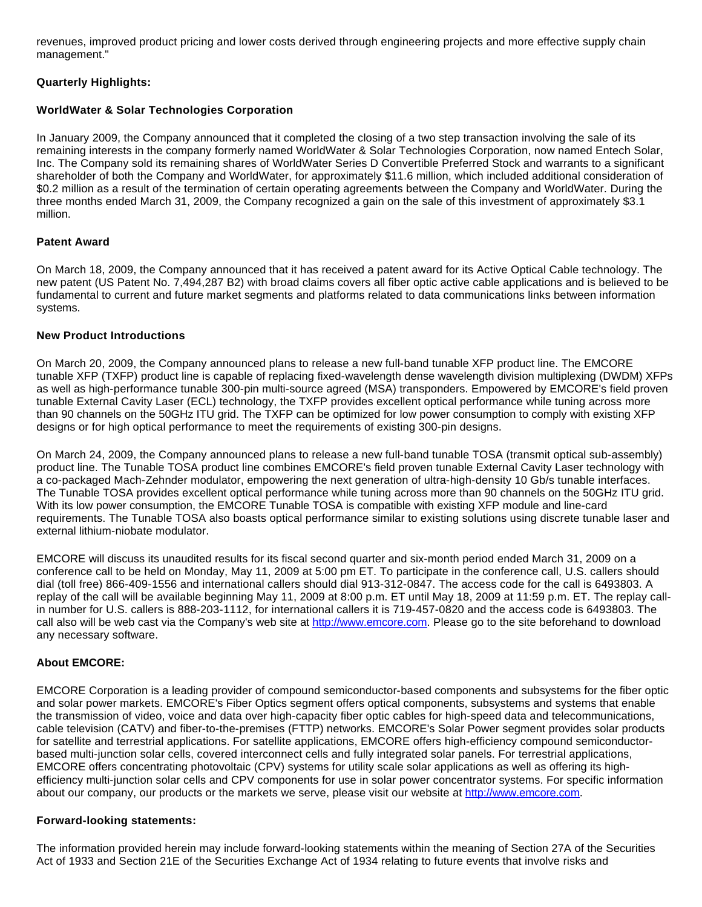revenues, improved product pricing and lower costs derived through engineering projects and more effective supply chain management."

# **Quarterly Highlights:**

## **WorldWater & Solar Technologies Corporation**

In January 2009, the Company announced that it completed the closing of a two step transaction involving the sale of its remaining interests in the company formerly named WorldWater & Solar Technologies Corporation, now named Entech Solar, Inc. The Company sold its remaining shares of WorldWater Series D Convertible Preferred Stock and warrants to a significant shareholder of both the Company and WorldWater, for approximately \$11.6 million, which included additional consideration of \$0.2 million as a result of the termination of certain operating agreements between the Company and WorldWater. During the three months ended March 31, 2009, the Company recognized a gain on the sale of this investment of approximately \$3.1 million.

## **Patent Award**

On March 18, 2009, the Company announced that it has received a patent award for its Active Optical Cable technology. The new patent (US Patent No. 7,494,287 B2) with broad claims covers all fiber optic active cable applications and is believed to be fundamental to current and future market segments and platforms related to data communications links between information systems.

## **New Product Introductions**

On March 20, 2009, the Company announced plans to release a new full-band tunable XFP product line. The EMCORE tunable XFP (TXFP) product line is capable of replacing fixed-wavelength dense wavelength division multiplexing (DWDM) XFPs as well as high-performance tunable 300-pin multi-source agreed (MSA) transponders. Empowered by EMCORE's field proven tunable External Cavity Laser (ECL) technology, the TXFP provides excellent optical performance while tuning across more than 90 channels on the 50GHz ITU grid. The TXFP can be optimized for low power consumption to comply with existing XFP designs or for high optical performance to meet the requirements of existing 300-pin designs.

On March 24, 2009, the Company announced plans to release a new full-band tunable TOSA (transmit optical sub-assembly) product line. The Tunable TOSA product line combines EMCORE's field proven tunable External Cavity Laser technology with a co-packaged Mach-Zehnder modulator, empowering the next generation of ultra-high-density 10 Gb/s tunable interfaces. The Tunable TOSA provides excellent optical performance while tuning across more than 90 channels on the 50GHz ITU grid. With its low power consumption, the EMCORE Tunable TOSA is compatible with existing XFP module and line-card requirements. The Tunable TOSA also boasts optical performance similar to existing solutions using discrete tunable laser and external lithium-niobate modulator.

EMCORE will discuss its unaudited results for its fiscal second quarter and six-month period ended March 31, 2009 on a conference call to be held on Monday, May 11, 2009 at 5:00 pm ET. To participate in the conference call, U.S. callers should dial (toll free) 866-409-1556 and international callers should dial 913-312-0847. The access code for the call is 6493803. A replay of the call will be available beginning May 11, 2009 at 8:00 p.m. ET until May 18, 2009 at 11:59 p.m. ET. The replay callin number for U.S. callers is 888-203-1112, for international callers it is 719-457-0820 and the access code is 6493803. The call also will be web cast via the Company's web site at [http://www.emcore.com.](http://www.emcore.com/) Please go to the site beforehand to download any necessary software.

## **About EMCORE:**

EMCORE Corporation is a leading provider of compound semiconductor-based components and subsystems for the fiber optic and solar power markets. EMCORE's Fiber Optics segment offers optical components, subsystems and systems that enable the transmission of video, voice and data over high-capacity fiber optic cables for high-speed data and telecommunications, cable television (CATV) and fiber-to-the-premises (FTTP) networks. EMCORE's Solar Power segment provides solar products for satellite and terrestrial applications. For satellite applications, EMCORE offers high-efficiency compound semiconductorbased multi-junction solar cells, covered interconnect cells and fully integrated solar panels. For terrestrial applications, EMCORE offers concentrating photovoltaic (CPV) systems for utility scale solar applications as well as offering its highefficiency multi-junction solar cells and CPV components for use in solar power concentrator systems. For specific information about our company, our products or the markets we serve, please visit our website at [http://www.emcore.com.](http://www.emcore.com/)

## **Forward-looking statements:**

The information provided herein may include forward-looking statements within the meaning of Section 27A of the Securities Act of 1933 and Section 21E of the Securities Exchange Act of 1934 relating to future events that involve risks and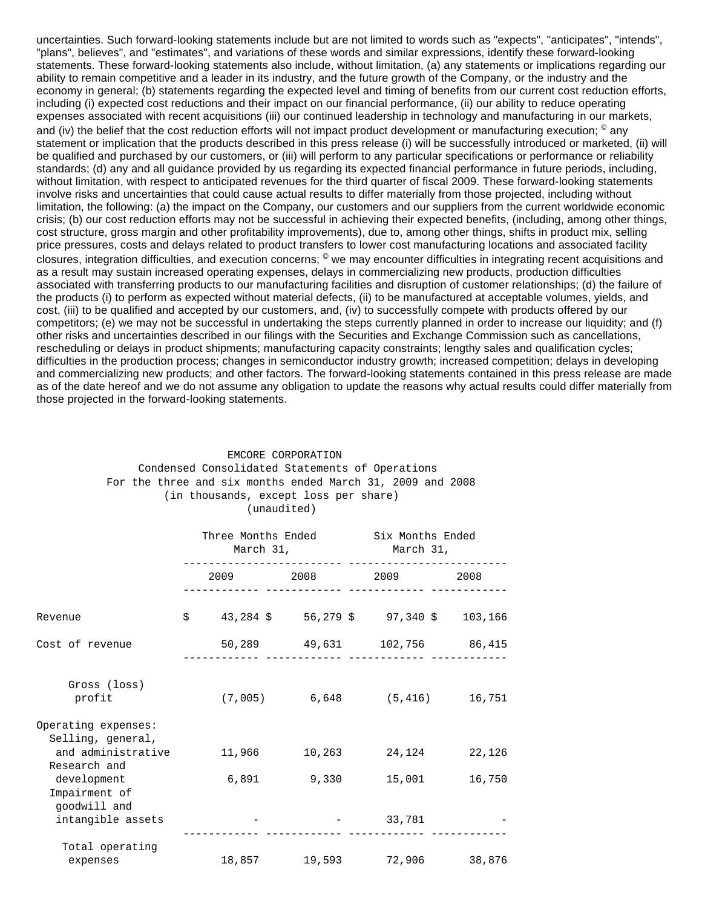uncertainties. Such forward-looking statements include but are not limited to words such as "expects", "anticipates", "intends", "plans", believes", and "estimates", and variations of these words and similar expressions, identify these forward-looking statements. These forward-looking statements also include, without limitation, (a) any statements or implications regarding our ability to remain competitive and a leader in its industry, and the future growth of the Company, or the industry and the economy in general; (b) statements regarding the expected level and timing of benefits from our current cost reduction efforts, including (i) expected cost reductions and their impact on our financial performance, (ii) our ability to reduce operating expenses associated with recent acquisitions (iii) our continued leadership in technology and manufacturing in our markets, and (iv) the belief that the cost reduction efforts will not impact product development or manufacturing execution;  $\circ$  any statement or implication that the products described in this press release (i) will be successfully introduced or marketed, (ii) will be qualified and purchased by our customers, or (iii) will perform to any particular specifications or performance or reliability standards; (d) any and all guidance provided by us regarding its expected financial performance in future periods, including, without limitation, with respect to anticipated revenues for the third quarter of fiscal 2009. These forward-looking statements involve risks and uncertainties that could cause actual results to differ materially from those projected, including without limitation, the following: (a) the impact on the Company, our customers and our suppliers from the current worldwide economic crisis; (b) our cost reduction efforts may not be successful in achieving their expected benefits, (including, among other things, cost structure, gross margin and other profitability improvements), due to, among other things, shifts in product mix, selling price pressures, costs and delays related to product transfers to lower cost manufacturing locations and associated facility closures, integration difficulties, and execution concerns; © we may encounter difficulties in integrating recent acquisitions and as a result may sustain increased operating expenses, delays in commercializing new products, production difficulties associated with transferring products to our manufacturing facilities and disruption of customer relationships; (d) the failure of the products (i) to perform as expected without material defects, (ii) to be manufactured at acceptable volumes, yields, and cost, (iii) to be qualified and accepted by our customers, and, (iv) to successfully compete with products offered by our competitors; (e) we may not be successful in undertaking the steps currently planned in order to increase our liquidity; and (f) other risks and uncertainties described in our filings with the Securities and Exchange Commission such as cancellations, rescheduling or delays in product shipments; manufacturing capacity constraints; lengthy sales and qualification cycles; difficulties in the production process; changes in semiconductor industry growth; increased competition; delays in developing and commercializing new products; and other factors. The forward-looking statements contained in this press release are made as of the date hereof and we do not assume any obligation to update the reasons why actual results could differ materially from those projected in the forward-looking statements.

> EMCORE CORPORATION Condensed Consolidated Statements of Operations For the three and six months ended March 31, 2009 and 2008 (in thousands, except loss per share) (unaudited)

|                                                                        | Three Months Ended Six Months Ended<br>March 31, March 31, |                                  |  | _________________ |                  |  |  |
|------------------------------------------------------------------------|------------------------------------------------------------|----------------------------------|--|-------------------|------------------|--|--|
|                                                                        |                                                            | 2009 2008 2009 2008              |  |                   |                  |  |  |
| Revenue                                                                | $\frac{1}{5}$ 43,284 \$ 56,279 \$ 97,340 \$ 103,166        |                                  |  |                   |                  |  |  |
| Cost of revenue                                                        |                                                            | .__________ ________________ ___ |  |                   |                  |  |  |
| Gross (loss)<br>profit<br>Operating expenses:                          |                                                            | $(7,005)$ 6,648 (5,416) 16,751   |  |                   |                  |  |  |
| Selling, general,<br>and administrative<br>Research and<br>development | $11,966$ $10,263$ $24,124$                                 | 6,891 9,330                      |  | 15,001            | 22,126<br>16,750 |  |  |
| Impairment of<br>goodwill and<br>intangible assets                     |                                                            |                                  |  | $-33,781$         |                  |  |  |
| Total operating<br>expenses                                            |                                                            | 18,857 19,593 72,906 38,876      |  |                   |                  |  |  |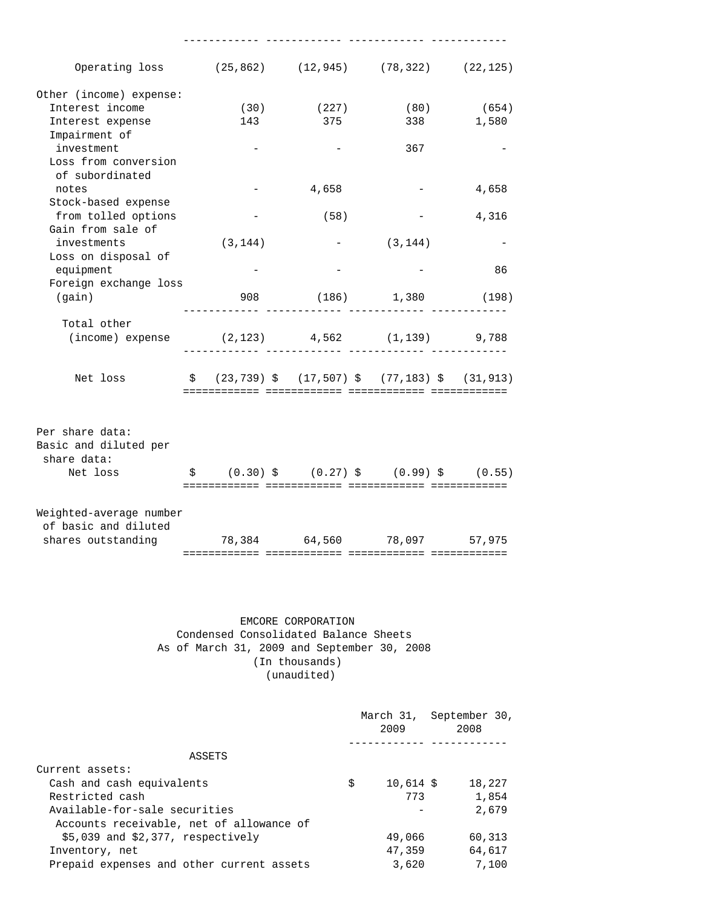| Operating loss                                           |                               |                | $(25,862)$ $(12,945)$ $(78,322)$ $(22,125)$                                                 |       |
|----------------------------------------------------------|-------------------------------|----------------|---------------------------------------------------------------------------------------------|-------|
| Other (income) expense:                                  |                               |                |                                                                                             |       |
| Interest income                                          |                               | $(30)$ $(227)$ | (80)                                                                                        | (654) |
| Interest expense                                         | 143                           | 375            | 338                                                                                         | 1,580 |
| Impairment of                                            |                               |                |                                                                                             |       |
| investment                                               |                               |                | 367                                                                                         |       |
| Loss from conversion                                     |                               |                |                                                                                             |       |
| of subordinated                                          |                               |                |                                                                                             |       |
| notes                                                    |                               | 4,658          |                                                                                             | 4,658 |
| Stock-based expense                                      |                               |                |                                                                                             |       |
| from tolled options                                      |                               | (58)           |                                                                                             | 4,316 |
| Gain from sale of                                        |                               |                |                                                                                             |       |
| investments                                              | (3, 144)                      |                | (3, 144)                                                                                    |       |
| Loss on disposal of                                      |                               |                |                                                                                             |       |
| equipment                                                |                               |                |                                                                                             | 86    |
| Foreign exchange loss                                    |                               |                |                                                                                             |       |
| (gain)                                                   | 908                           | $(186)$ 1,380  |                                                                                             | (198) |
|                                                          |                               |                |                                                                                             |       |
| Total other                                              |                               |                |                                                                                             |       |
| (income) expense $(2, 123)$ $4, 562$ $(1, 139)$ $9, 788$ |                               |                |                                                                                             |       |
|                                                          |                               |                |                                                                                             |       |
| Net loss                                                 |                               |                | $\frac{1}{2}$ (23,739) $\frac{1}{2}$ (17,507) $\frac{1}{2}$ (77,183) $\frac{1}{2}$ (31,913) |       |
|                                                          |                               |                |                                                                                             |       |
|                                                          |                               |                |                                                                                             |       |
|                                                          |                               |                |                                                                                             |       |
| Per share data:                                          |                               |                |                                                                                             |       |
| Basic and diluted per                                    |                               |                |                                                                                             |       |
| share data:                                              |                               |                |                                                                                             |       |
| Net loss                                                 |                               |                | $\zeta$ (0.30) $\zeta$ (0.27) $\zeta$ (0.99) $\zeta$ (0.55)                                 |       |
|                                                          |                               |                |                                                                                             |       |
|                                                          |                               |                |                                                                                             |       |
| Weighted-average number                                  |                               |                |                                                                                             |       |
| of basic and diluted                                     |                               |                |                                                                                             |       |
| shares outstanding $78,384$ $64,560$ $78,097$ 57,975     | ============================= |                |                                                                                             |       |
|                                                          |                               |                |                                                                                             |       |

## EMCORE CORPORATION Condensed Consolidated Balance Sheets As of March 31, 2009 and September 30, 2008 (In thousands) (unaudited)

|                                           |    | March 31, September 30,<br>2009 | 2008 |        |
|-------------------------------------------|----|---------------------------------|------|--------|
| ASSETS                                    |    |                                 |      |        |
| Current assets:                           |    |                                 |      |        |
| Cash and cash equivalents                 | Ŝ. | $10.614$ \$                     |      | 18,227 |
| Restricted cash                           |    | 773                             |      | 1,854  |
| Available-for-sale securities             |    |                                 |      | 2,679  |
| Accounts receivable, net of allowance of  |    |                                 |      |        |
| $$5,039$ and $$2,377$ , respectively      |    | 49,066                          |      | 60,313 |
| Inventory, net                            |    | 47,359                          |      | 64,617 |
| Prepaid expenses and other current assets |    | 3,620                           |      | 7,100  |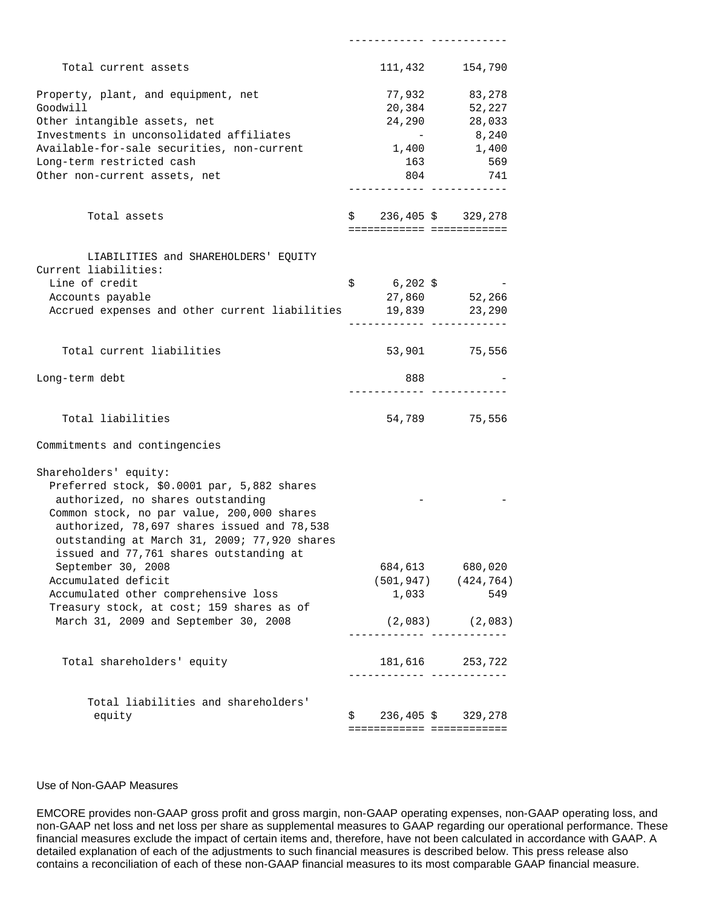| Total current assets                                                                                                                                                                                                                                                                              |                                                    | 111,432 154,790           |
|---------------------------------------------------------------------------------------------------------------------------------------------------------------------------------------------------------------------------------------------------------------------------------------------------|----------------------------------------------------|---------------------------|
|                                                                                                                                                                                                                                                                                                   |                                                    | 77,932 83,278             |
| Property, plant, and equipment, net<br>Goodwill                                                                                                                                                                                                                                                   | 20,384                                             | 52,227                    |
| Other intangible assets, net                                                                                                                                                                                                                                                                      | 24,290                                             | 28,033                    |
| Investments in unconsolidated affiliates                                                                                                                                                                                                                                                          | <b>Contract Contract</b>                           | 8,240                     |
| Available-for-sale securities, non-current                                                                                                                                                                                                                                                        | 1,400                                              | 1,400                     |
| Long-term restricted cash                                                                                                                                                                                                                                                                         | 163                                                | 569                       |
| Other non-current assets, net                                                                                                                                                                                                                                                                     | 804                                                | 741                       |
|                                                                                                                                                                                                                                                                                                   | _________________________                          |                           |
| Total assets                                                                                                                                                                                                                                                                                      | $$236,405$ \$ 329,278<br>========================= |                           |
| LIABILITIES and SHAREHOLDERS' EQUITY<br>Current liabilities:                                                                                                                                                                                                                                      |                                                    |                           |
| Line of credit                                                                                                                                                                                                                                                                                    | \$<br>$6,202$ \$                                   | <b>Service State</b>      |
| Accounts payable                                                                                                                                                                                                                                                                                  |                                                    | 27,860 52,266             |
| Accrued expenses and other current liabilities 19,839 23,290                                                                                                                                                                                                                                      |                                                    |                           |
| Total current liabilities                                                                                                                                                                                                                                                                         |                                                    | 53,901 75,556             |
| Long-term debt                                                                                                                                                                                                                                                                                    | 888<br>---------- -----------                      |                           |
|                                                                                                                                                                                                                                                                                                   |                                                    |                           |
| Total liabilities                                                                                                                                                                                                                                                                                 |                                                    | 54,789 75,556             |
| Commitments and contingencies                                                                                                                                                                                                                                                                     |                                                    |                           |
| Shareholders' equity:<br>Preferred stock, \$0.0001 par, 5,882 shares<br>authorized, no shares outstanding<br>Common stock, no par value, 200,000 shares<br>authorized, 78,697 shares issued and 78,538<br>outstanding at March 31, 2009; 77,920 shares<br>issued and 77,761 shares outstanding at |                                                    |                           |
| September 30, 2008                                                                                                                                                                                                                                                                                |                                                    | 684,613 680,020           |
| Accumulated deficit                                                                                                                                                                                                                                                                               |                                                    | $(501, 947)$ $(424, 764)$ |
| Accumulated other comprehensive loss                                                                                                                                                                                                                                                              | 1,033                                              | 549                       |
| Treasury stock, at cost; 159 shares as of<br>March 31, 2009 and September 30, 2008                                                                                                                                                                                                                | . _ _ _ _   _ _ _ _ _ _ _ .                        | $(2,083)$ $(2,083)$       |
| Total shareholders' equity                                                                                                                                                                                                                                                                        |                                                    | 181,616 253,722           |
| Total liabilities and shareholders'<br>equity                                                                                                                                                                                                                                                     | \$                                                 | 236,405 \$329,278         |
|                                                                                                                                                                                                                                                                                                   | ========================                           |                           |

------------ ------------

#### Use of Non-GAAP Measures

EMCORE provides non-GAAP gross profit and gross margin, non-GAAP operating expenses, non-GAAP operating loss, and non-GAAP net loss and net loss per share as supplemental measures to GAAP regarding our operational performance. These financial measures exclude the impact of certain items and, therefore, have not been calculated in accordance with GAAP. A detailed explanation of each of the adjustments to such financial measures is described below. This press release also contains a reconciliation of each of these non-GAAP financial measures to its most comparable GAAP financial measure.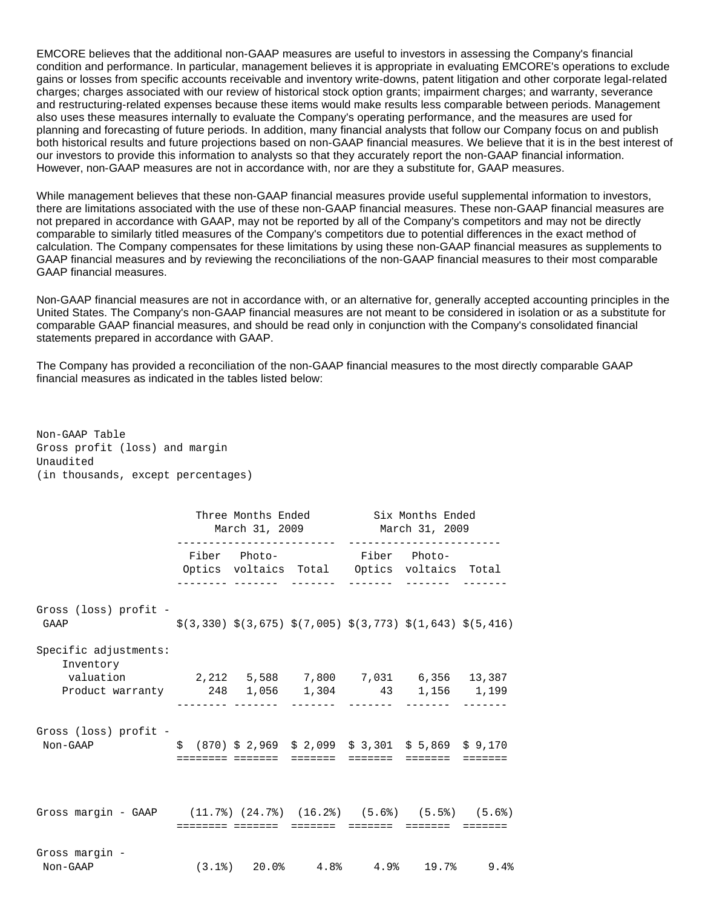EMCORE believes that the additional non-GAAP measures are useful to investors in assessing the Company's financial condition and performance. In particular, management believes it is appropriate in evaluating EMCORE's operations to exclude gains or losses from specific accounts receivable and inventory write-downs, patent litigation and other corporate legal-related charges; charges associated with our review of historical stock option grants; impairment charges; and warranty, severance and restructuring-related expenses because these items would make results less comparable between periods. Management also uses these measures internally to evaluate the Company's operating performance, and the measures are used for planning and forecasting of future periods. In addition, many financial analysts that follow our Company focus on and publish both historical results and future projections based on non-GAAP financial measures. We believe that it is in the best interest of our investors to provide this information to analysts so that they accurately report the non-GAAP financial information. However, non-GAAP measures are not in accordance with, nor are they a substitute for, GAAP measures.

While management believes that these non-GAAP financial measures provide useful supplemental information to investors, there are limitations associated with the use of these non-GAAP financial measures. These non-GAAP financial measures are not prepared in accordance with GAAP, may not be reported by all of the Company's competitors and may not be directly comparable to similarly titled measures of the Company's competitors due to potential differences in the exact method of calculation. The Company compensates for these limitations by using these non-GAAP financial measures as supplements to GAAP financial measures and by reviewing the reconciliations of the non-GAAP financial measures to their most comparable GAAP financial measures.

Non-GAAP financial measures are not in accordance with, or an alternative for, generally accepted accounting principles in the United States. The Company's non-GAAP financial measures are not meant to be considered in isolation or as a substitute for comparable GAAP financial measures, and should be read only in conjunction with the Company's consolidated financial statements prepared in accordance with GAAP.

The Company has provided a reconciliation of the non-GAAP financial measures to the most directly comparable GAAP financial measures as indicated in the tables listed below:

Unaudited (in thousands, except percentages) Three Months Ended Six Months Ended March 31, 2009 March 31, 2009 ------------------------- ------------------------ Fiber Photo- Fiber Photo- Optics voltaics Total Optics voltaics Total -------- ------- ------- ------- ------- ------- Gross (loss) profit - GAAP  $\sharp$  (3,330)  $\sharp$  (3,675)  $\sharp$  (7,005)  $\sharp$  (3,773)  $\sharp$  (1,643)  $\sharp$  (5,416) Specific adjustments: Inventory valuation 2,212 5,588 7,800 7,031 6,356 13,387 Product warranty 248 1,056 1,304 43 1,156 1,199 -------- ------- ------- ------- ------- ------- Gross (loss) profit - Non-GAAP \$ (870) \$ 2,969 \$ 2,099 \$ 3,301 \$ 5,869 \$ 9,170 ======== ======= ======= ======= ======= ======= Gross margin - GAAP (11.7%) (24.7%) (16.2%) (5.6%) (5.5%) (5.6%) ======== ======= ======= ======= ======= ======= Gross margin - Non-GAAP (3.1%) 20.0% 4.8% 4.9% 19.7% 9.4%

Non-GAAP Table

Gross profit (loss) and margin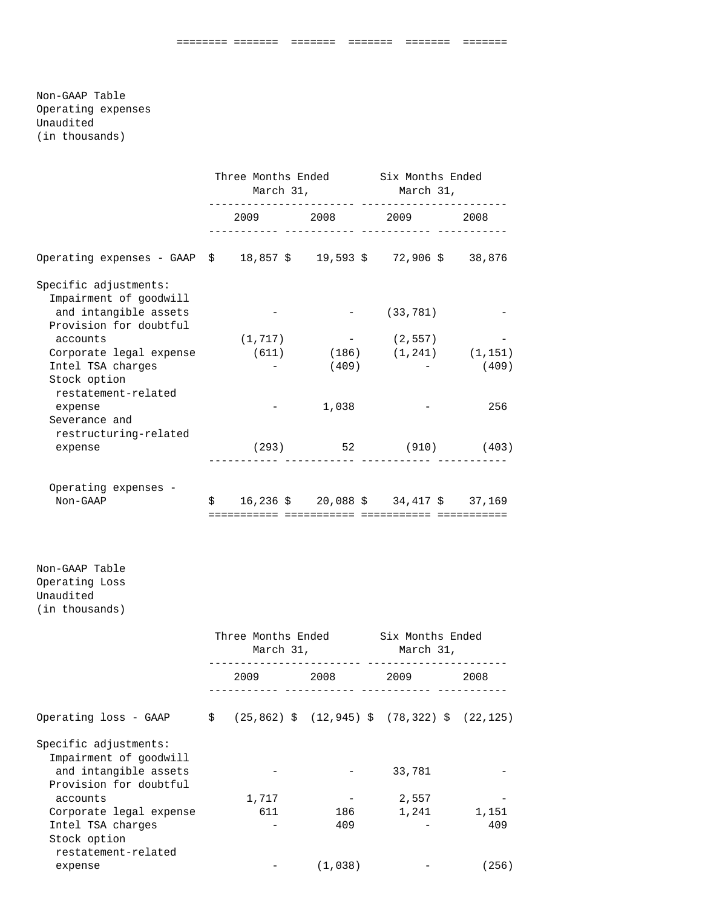Non-GAAP Table Operating expenses Unaudited (in thousands)

|                                                                   | Three Months Ended<br>March 31, |           |         | Six Months Ended<br>March 31,                        |       |  |
|-------------------------------------------------------------------|---------------------------------|-----------|---------|------------------------------------------------------|-------|--|
|                                                                   |                                 |           |         | 2009 2008 2009 2008                                  |       |  |
| Operating expenses - GAAP \$ 18,857 \$ 19,593 \$ 72,906 \$ 38,876 |                                 |           |         |                                                      |       |  |
| Specific adjustments:<br>Impairment of goodwill                   |                                 |           |         |                                                      |       |  |
| and intangible assets<br>Provision for doubtful                   |                                 |           |         | (33, 781)                                            |       |  |
| accounts                                                          |                                 | (1, 717)  |         | $-$ (2,557)                                          |       |  |
| Corporate legal expense                                           |                                 |           |         | $(611)$ $(186)$ $(1,241)$ $(1,151)$                  |       |  |
| Intel TSA charges<br>Stock option<br>restatement-related          |                                 | $-$       | (409)   | and the state of the state of                        | (409) |  |
| expense<br>Severance and<br>restructuring-related                 |                                 |           | 1,038   |                                                      | 256   |  |
| expense                                                           |                                 |           |         | $(293)$ 52 (910) (403)                               |       |  |
| Operating expenses -                                              |                                 |           |         |                                                      |       |  |
| Non-GAAP                                                          | $\ddot{s}$                      |           |         | 16,236 \$ 20,088 \$ 34,417 \$ 37,169                 |       |  |
| Non-GAAP Table<br>Operating Loss<br>Unaudited<br>(in thousands)   |                                 |           |         |                                                      |       |  |
|                                                                   |                                 | March 31, |         | Three Months Ended Six Months Ended<br>March 31,     |       |  |
|                                                                   |                                 | 2009      | 2008    | 2009                                                 | 2008  |  |
| Operating loss - GAAP                                             | \$                              |           |         | $(25,862)$ \$ $(12,945)$ \$ $(78,322)$ \$ $(22,125)$ |       |  |
| Specific adjustments:<br>Impairment of goodwill                   |                                 |           |         |                                                      |       |  |
| and intangible assets<br>Provision for doubtful                   |                                 |           |         | 33,781                                               |       |  |
| accounts                                                          |                                 | 1,717     |         | 2,557                                                |       |  |
| Corporate legal expense                                           |                                 | 611       | 186     | 1,241                                                | 1,151 |  |
| Intel TSA charges<br>Stock option<br>restatement-related          |                                 |           | 409     |                                                      | 409   |  |
| expense                                                           |                                 |           | (1,038) |                                                      | (256) |  |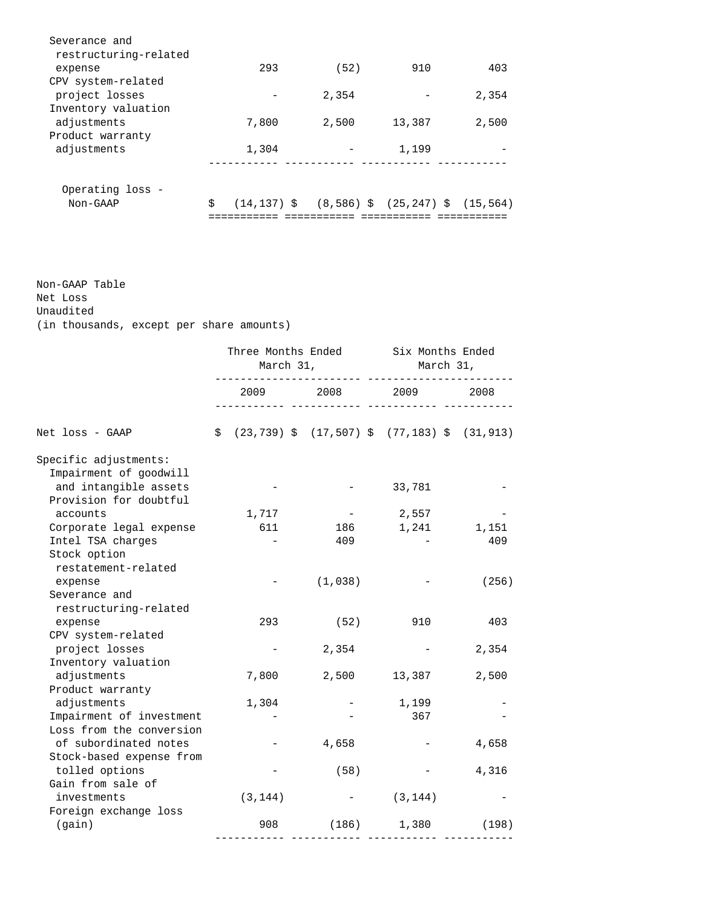| Severance and                                     |            |                                                                                             |              |       |
|---------------------------------------------------|------------|---------------------------------------------------------------------------------------------|--------------|-------|
| restructuring-related                             |            |                                                                                             |              |       |
| expense                                           | 293        | (52)                                                                                        | 910          | 403   |
| CPV system-related                                |            |                                                                                             |              |       |
| project losses                                    |            | 2,354                                                                                       |              | 2,354 |
| Inventory valuation                               |            |                                                                                             |              |       |
| adjustments                                       | 7,800      |                                                                                             | 2,500 13,387 | 2,500 |
| Product warranty<br>adjustments                   |            |                                                                                             |              |       |
|                                                   | 1,304      | $-1,199$                                                                                    |              |       |
|                                                   |            |                                                                                             |              |       |
| Operating loss -                                  |            |                                                                                             |              |       |
| Non-GAAP                                          | $\ddot{s}$ | $(14, 137)$ \$ $(8, 586)$ \$ $(25, 247)$ \$ $(15, 564)$                                     |              |       |
|                                                   |            |                                                                                             |              |       |
|                                                   |            |                                                                                             |              |       |
|                                                   |            |                                                                                             |              |       |
|                                                   |            |                                                                                             |              |       |
| Non-GAAP Table                                    |            |                                                                                             |              |       |
| Net Loss                                          |            |                                                                                             |              |       |
| Unaudited                                         |            |                                                                                             |              |       |
| (in thousands, except per share amounts)          |            |                                                                                             |              |       |
|                                                   |            | Three Months Ended Six Months Ended                                                         |              |       |
|                                                   |            | March 31,                                                                                   | March 31,    |       |
|                                                   |            |                                                                                             |              |       |
|                                                   |            | 2009 2008 2009 2009                                                                         |              | 2008  |
|                                                   |            |                                                                                             |              |       |
|                                                   |            |                                                                                             |              |       |
| Net loss - GAAP                                   |            | $\frac{1}{2}$ (23,739) $\frac{1}{2}$ (17,507) $\frac{1}{2}$ (77,183) $\frac{1}{2}$ (31,913) |              |       |
|                                                   |            |                                                                                             |              |       |
| Specific adjustments:                             |            |                                                                                             |              |       |
| Impairment of goodwill<br>and intangible assets   |            |                                                                                             | 33,781       |       |
| Provision for doubtful                            |            |                                                                                             |              |       |
| accounts                                          | 1,717      |                                                                                             | 2,557        |       |
| Corporate legal expense                           | 611        | 186                                                                                         | 1,241        | 1,151 |
| Intel TSA charges                                 |            | 409                                                                                         |              | 409   |
| Stock option                                      |            |                                                                                             |              |       |
| restatement-related                               |            |                                                                                             |              |       |
| expense                                           |            | (1,038)                                                                                     |              | (256) |
| Severance and                                     |            |                                                                                             |              |       |
| restructuring-related                             |            |                                                                                             |              |       |
| expense                                           | 293        | (52)                                                                                        | 910          | 403   |
| CPV system-related                                |            |                                                                                             |              |       |
| project losses                                    |            | 2,354                                                                                       |              | 2,354 |
| Inventory valuation                               |            |                                                                                             |              |       |
| adjustments                                       | 7,800      | 2,500                                                                                       | 13,387       | 2,500 |
| Product warranty                                  |            |                                                                                             |              |       |
| adjustments                                       | 1,304      |                                                                                             | 1,199        |       |
| Impairment of investment                          |            |                                                                                             | 367          |       |
| Loss from the conversion                          |            |                                                                                             |              |       |
| of subordinated notes<br>Stock-based expense from |            | 4,658                                                                                       |              | 4,658 |
| tolled options                                    |            |                                                                                             |              |       |
| Gain from sale of                                 |            | (58)                                                                                        |              | 4,316 |
| investments                                       | (3, 144)   |                                                                                             | (3, 144)     |       |
| Foreign exchange loss                             |            |                                                                                             |              |       |
| (gain)                                            | 908        | (186)                                                                                       | 1,380        | (198) |
|                                                   |            |                                                                                             |              |       |